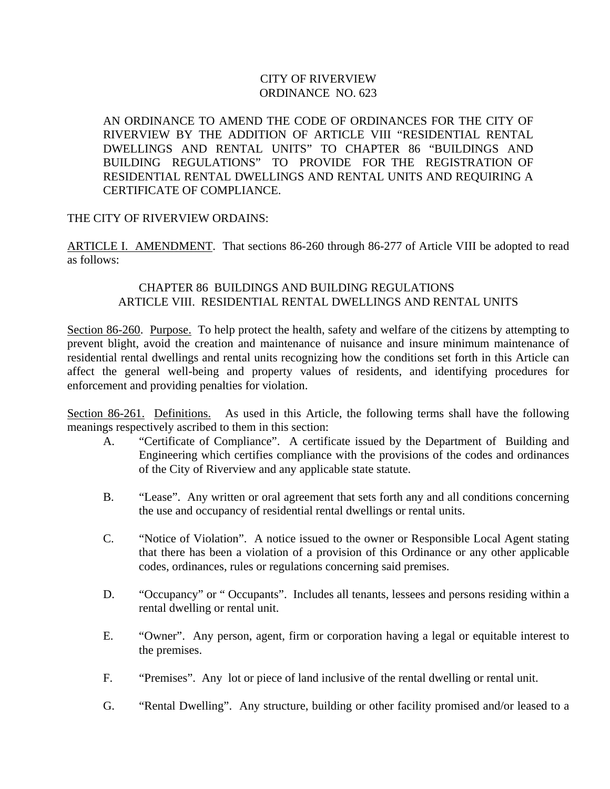# CITY OF RIVERVIEW ORDINANCE NO. 623

AN ORDINANCE TO AMEND THE CODE OF ORDINANCES FOR THE CITY OF RIVERVIEW BY THE ADDITION OF ARTICLE VIII "RESIDENTIAL RENTAL DWELLINGS AND RENTAL UNITS" TO CHAPTER 86 "BUILDINGS AND BUILDING REGULATIONS" TO PROVIDE FOR THE REGISTRATION OF RESIDENTIAL RENTAL DWELLINGS AND RENTAL UNITS AND REQUIRING A CERTIFICATE OF COMPLIANCE.

### THE CITY OF RIVERVIEW ORDAINS:

ARTICLE I. AMENDMENT. That sections 86-260 through 86-277 of Article VIII be adopted to read as follows:

### CHAPTER 86 BUILDINGS AND BUILDING REGULATIONS ARTICLE VIII. RESIDENTIAL RENTAL DWELLINGS AND RENTAL UNITS

Section 86-260. Purpose.To help protect the health, safety and welfare of the citizens by attempting to prevent blight, avoid the creation and maintenance of nuisance and insure minimum maintenance of residential rental dwellings and rental units recognizing how the conditions set forth in this Article can affect the general well-being and property values of residents, and identifying procedures for enforcement and providing penalties for violation.

Section 86-261. Definitions.As used in this Article, the following terms shall have the following meanings respectively ascribed to them in this section:

- A. "Certificate of Compliance". A certificate issued by the Department of Building and Engineering which certifies compliance with the provisions of the codes and ordinances of the City of Riverview and any applicable state statute.
- B. "Lease". Any written or oral agreement that sets forth any and all conditions concerning the use and occupancy of residential rental dwellings or rental units.
- C. "Notice of Violation". A notice issued to the owner or Responsible Local Agent stating that there has been a violation of a provision of this Ordinance or any other applicable codes, ordinances, rules or regulations concerning said premises.
- D. "Occupancy" or " Occupants". Includes all tenants, lessees and persons residing within a rental dwelling or rental unit.
- E. "Owner". Any person, agent, firm or corporation having a legal or equitable interest to the premises.
- F. "Premises". Any lot or piece of land inclusive of the rental dwelling or rental unit.
- G. "Rental Dwelling". Any structure, building or other facility promised and/or leased to a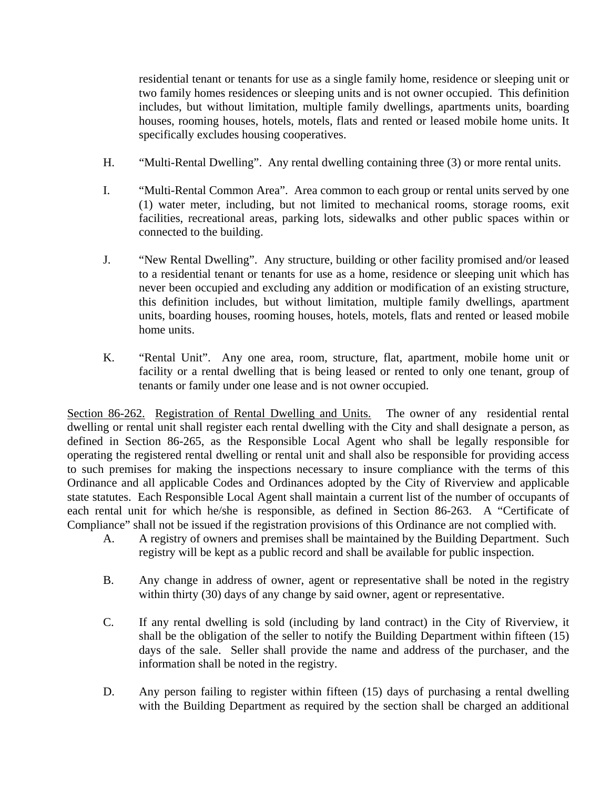residential tenant or tenants for use as a single family home, residence or sleeping unit or two family homes residences or sleeping units and is not owner occupied. This definition includes, but without limitation, multiple family dwellings, apartments units, boarding houses, rooming houses, hotels, motels, flats and rented or leased mobile home units. It specifically excludes housing cooperatives.

- H. "Multi-Rental Dwelling". Any rental dwelling containing three (3) or more rental units.
- I. "Multi-Rental Common Area". Area common to each group or rental units served by one (1) water meter, including, but not limited to mechanical rooms, storage rooms, exit facilities, recreational areas, parking lots, sidewalks and other public spaces within or connected to the building.
- J. "New Rental Dwelling". Any structure, building or other facility promised and/or leased to a residential tenant or tenants for use as a home, residence or sleeping unit which has never been occupied and excluding any addition or modification of an existing structure, this definition includes, but without limitation, multiple family dwellings, apartment units, boarding houses, rooming houses, hotels, motels, flats and rented or leased mobile home units.
- K. "Rental Unit". Any one area, room, structure, flat, apartment, mobile home unit or facility or a rental dwelling that is being leased or rented to only one tenant, group of tenants or family under one lease and is not owner occupied.

Section 86-262. Registration of Rental Dwelling and Units.The owner of any residential rental dwelling or rental unit shall register each rental dwelling with the City and shall designate a person, as defined in Section 86-265, as the Responsible Local Agent who shall be legally responsible for operating the registered rental dwelling or rental unit and shall also be responsible for providing access to such premises for making the inspections necessary to insure compliance with the terms of this Ordinance and all applicable Codes and Ordinances adopted by the City of Riverview and applicable state statutes. Each Responsible Local Agent shall maintain a current list of the number of occupants of each rental unit for which he/she is responsible, as defined in Section 86-263. A "Certificate of Compliance" shall not be issued if the registration provisions of this Ordinance are not complied with.

- A. A registry of owners and premises shall be maintained by the Building Department. Such registry will be kept as a public record and shall be available for public inspection.
- B. Any change in address of owner, agent or representative shall be noted in the registry within thirty (30) days of any change by said owner, agent or representative.
- C. If any rental dwelling is sold (including by land contract) in the City of Riverview, it shall be the obligation of the seller to notify the Building Department within fifteen (15) days of the sale. Seller shall provide the name and address of the purchaser, and the information shall be noted in the registry.
- D. Any person failing to register within fifteen (15) days of purchasing a rental dwelling with the Building Department as required by the section shall be charged an additional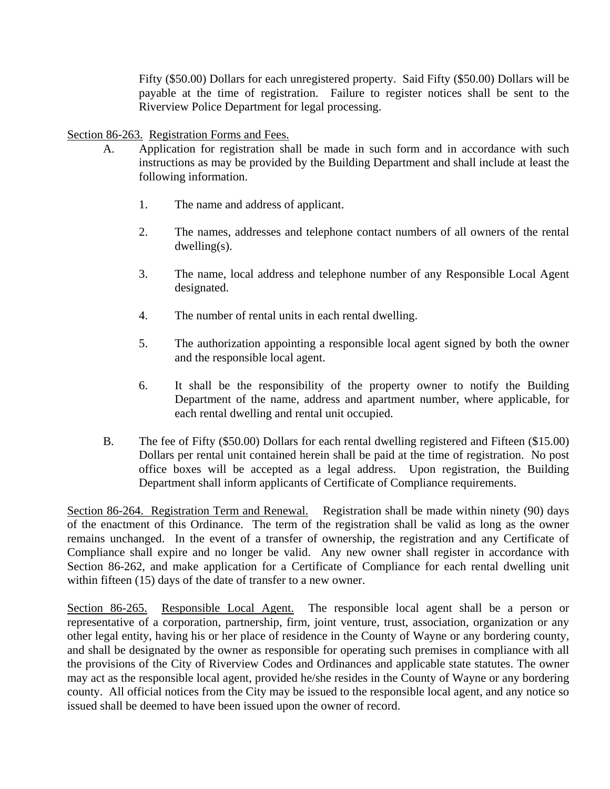Fifty (\$50.00) Dollars for each unregistered property. Said Fifty (\$50.00) Dollars will be payable at the time of registration. Failure to register notices shall be sent to the Riverview Police Department for legal processing.

## Section 86-263. Registration Forms and Fees.

- A. Application for registration shall be made in such form and in accordance with such instructions as may be provided by the Building Department and shall include at least the following information.
	- 1. The name and address of applicant.
	- 2. The names, addresses and telephone contact numbers of all owners of the rental dwelling(s).
	- 3. The name, local address and telephone number of any Responsible Local Agent designated.
	- 4. The number of rental units in each rental dwelling.
	- 5. The authorization appointing a responsible local agent signed by both the owner and the responsible local agent.
	- 6. It shall be the responsibility of the property owner to notify the Building Department of the name, address and apartment number, where applicable, for each rental dwelling and rental unit occupied.
- B. The fee of Fifty (\$50.00) Dollars for each rental dwelling registered and Fifteen (\$15.00) Dollars per rental unit contained herein shall be paid at the time of registration. No post office boxes will be accepted as a legal address. Upon registration, the Building Department shall inform applicants of Certificate of Compliance requirements.

Section 86-264. Registration Term and Renewal.Registration shall be made within ninety (90) days of the enactment of this Ordinance. The term of the registration shall be valid as long as the owner remains unchanged. In the event of a transfer of ownership, the registration and any Certificate of Compliance shall expire and no longer be valid. Any new owner shall register in accordance with Section 86-262, and make application for a Certificate of Compliance for each rental dwelling unit within fifteen (15) days of the date of transfer to a new owner.

Section 86-265. Responsible Local Agent. The responsible local agent shall be a person or representative of a corporation, partnership, firm, joint venture, trust, association, organization or any other legal entity, having his or her place of residence in the County of Wayne or any bordering county, and shall be designated by the owner as responsible for operating such premises in compliance with all the provisions of the City of Riverview Codes and Ordinances and applicable state statutes. The owner may act as the responsible local agent, provided he/she resides in the County of Wayne or any bordering county. All official notices from the City may be issued to the responsible local agent, and any notice so issued shall be deemed to have been issued upon the owner of record.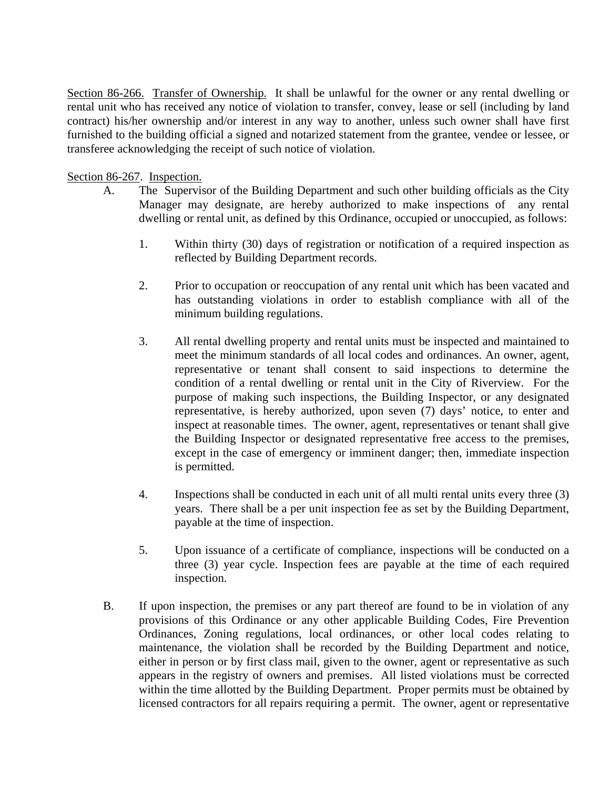Section 86-266. Transfer of Ownership. It shall be unlawful for the owner or any rental dwelling or rental unit who has received any notice of violation to transfer, convey, lease or sell (including by land contract) his/her ownership and/or interest in any way to another, unless such owner shall have first furnished to the building official a signed and notarized statement from the grantee, vendee or lessee, or transferee acknowledging the receipt of such notice of violation.

### Section 86-267. Inspection.

- A. The Supervisor of the Building Department and such other building officials as the City Manager may designate, are hereby authorized to make inspections of any rental dwelling or rental unit, as defined by this Ordinance, occupied or unoccupied, as follows:
	- 1. Within thirty (30) days of registration or notification of a required inspection as reflected by Building Department records.
	- 2. Prior to occupation or reoccupation of any rental unit which has been vacated and has outstanding violations in order to establish compliance with all of the minimum building regulations.
	- 3. All rental dwelling property and rental units must be inspected and maintained to meet the minimum standards of all local codes and ordinances. An owner, agent, representative or tenant shall consent to said inspections to determine the condition of a rental dwelling or rental unit in the City of Riverview. For the purpose of making such inspections, the Building Inspector, or any designated representative, is hereby authorized, upon seven (7) days' notice, to enter and inspect at reasonable times. The owner, agent, representatives or tenant shall give the Building Inspector or designated representative free access to the premises, except in the case of emergency or imminent danger; then, immediate inspection is permitted.
	- 4. Inspections shall be conducted in each unit of all multi rental units every three (3) years. There shall be a per unit inspection fee as set by the Building Department, payable at the time of inspection.
	- 5. Upon issuance of a certificate of compliance, inspections will be conducted on a three (3) year cycle. Inspection fees are payable at the time of each required inspection.
- B. If upon inspection, the premises or any part thereof are found to be in violation of any provisions of this Ordinance or any other applicable Building Codes, Fire Prevention Ordinances, Zoning regulations, local ordinances, or other local codes relating to maintenance, the violation shall be recorded by the Building Department and notice, either in person or by first class mail, given to the owner, agent or representative as such appears in the registry of owners and premises. All listed violations must be corrected within the time allotted by the Building Department. Proper permits must be obtained by licensed contractors for all repairs requiring a permit. The owner, agent or representative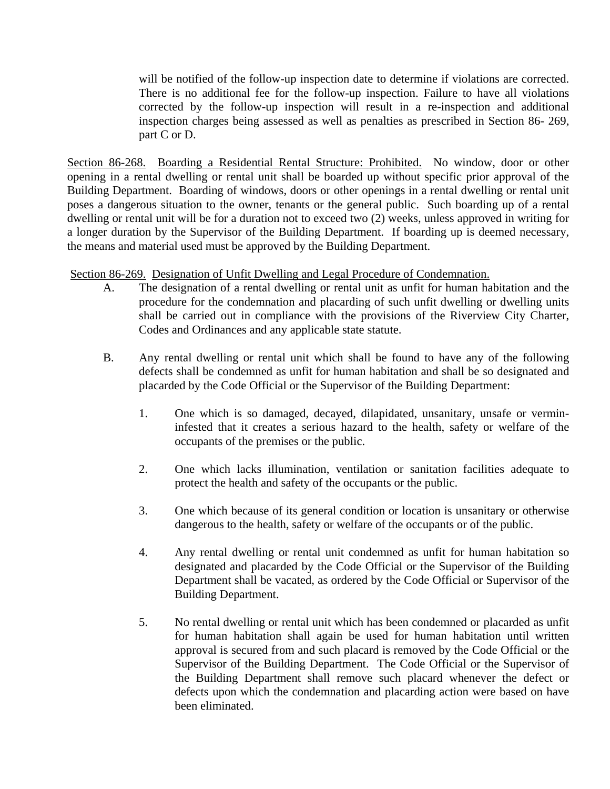will be notified of the follow-up inspection date to determine if violations are corrected. There is no additional fee for the follow-up inspection. Failure to have all violations corrected by the follow-up inspection will result in a re-inspection and additional inspection charges being assessed as well as penalties as prescribed in Section 86- 269, part C or D.

Section 86-268. Boarding a Residential Rental Structure: Prohibited. No window, door or other opening in a rental dwelling or rental unit shall be boarded up without specific prior approval of the Building Department. Boarding of windows, doors or other openings in a rental dwelling or rental unit poses a dangerous situation to the owner, tenants or the general public. Such boarding up of a rental dwelling or rental unit will be for a duration not to exceed two (2) weeks, unless approved in writing for a longer duration by the Supervisor of the Building Department. If boarding up is deemed necessary, the means and material used must be approved by the Building Department.

# Section 86-269. Designation of Unfit Dwelling and Legal Procedure of Condemnation.

- A. The designation of a rental dwelling or rental unit as unfit for human habitation and the procedure for the condemnation and placarding of such unfit dwelling or dwelling units shall be carried out in compliance with the provisions of the Riverview City Charter, Codes and Ordinances and any applicable state statute.
- B. Any rental dwelling or rental unit which shall be found to have any of the following defects shall be condemned as unfit for human habitation and shall be so designated and placarded by the Code Official or the Supervisor of the Building Department:
	- 1. One which is so damaged, decayed, dilapidated, unsanitary, unsafe or vermininfested that it creates a serious hazard to the health, safety or welfare of the occupants of the premises or the public.
	- 2. One which lacks illumination, ventilation or sanitation facilities adequate to protect the health and safety of the occupants or the public.
	- 3. One which because of its general condition or location is unsanitary or otherwise dangerous to the health, safety or welfare of the occupants or of the public.
	- 4. Any rental dwelling or rental unit condemned as unfit for human habitation so designated and placarded by the Code Official or the Supervisor of the Building Department shall be vacated, as ordered by the Code Official or Supervisor of the Building Department.
	- 5. No rental dwelling or rental unit which has been condemned or placarded as unfit for human habitation shall again be used for human habitation until written approval is secured from and such placard is removed by the Code Official or the Supervisor of the Building Department. The Code Official or the Supervisor of the Building Department shall remove such placard whenever the defect or defects upon which the condemnation and placarding action were based on have been eliminated.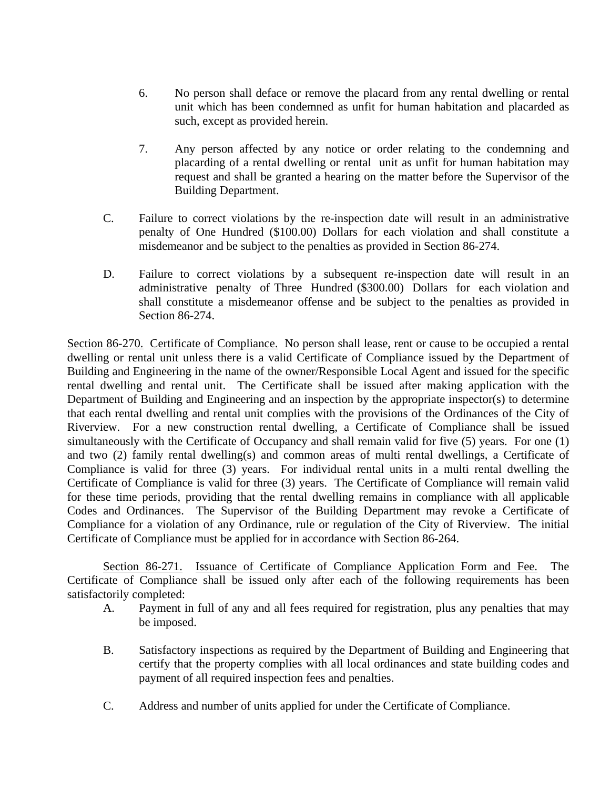- 6. No person shall deface or remove the placard from any rental dwelling or rental unit which has been condemned as unfit for human habitation and placarded as such, except as provided herein.
- 7. Any person affected by any notice or order relating to the condemning and placarding of a rental dwelling or rental unit as unfit for human habitation may request and shall be granted a hearing on the matter before the Supervisor of the Building Department.
- C. Failure to correct violations by the re-inspection date will result in an administrative penalty of One Hundred (\$100.00) Dollars for each violation and shall constitute a misdemeanor and be subject to the penalties as provided in Section 86-274.
- D. Failure to correct violations by a subsequent re-inspection date will result in an administrative penalty of Three Hundred (\$300.00) Dollars for each violation and shall constitute a misdemeanor offense and be subject to the penalties as provided in Section 86-274.

Section 86-270. Certificate of Compliance. No person shall lease, rent or cause to be occupied a rental dwelling or rental unit unless there is a valid Certificate of Compliance issued by the Department of Building and Engineering in the name of the owner/Responsible Local Agent and issued for the specific rental dwelling and rental unit. The Certificate shall be issued after making application with the Department of Building and Engineering and an inspection by the appropriate inspector(s) to determine that each rental dwelling and rental unit complies with the provisions of the Ordinances of the City of Riverview. For a new construction rental dwelling, a Certificate of Compliance shall be issued simultaneously with the Certificate of Occupancy and shall remain valid for five (5) years. For one (1) and two (2) family rental dwelling(s) and common areas of multi rental dwellings, a Certificate of Compliance is valid for three (3) years. For individual rental units in a multi rental dwelling the Certificate of Compliance is valid for three (3) years. The Certificate of Compliance will remain valid for these time periods, providing that the rental dwelling remains in compliance with all applicable Codes and Ordinances. The Supervisor of the Building Department may revoke a Certificate of Compliance for a violation of any Ordinance, rule or regulation of the City of Riverview. The initial Certificate of Compliance must be applied for in accordance with Section 86-264.

 Section 86-271. Issuance of Certificate of Compliance Application Form and Fee. The Certificate of Compliance shall be issued only after each of the following requirements has been satisfactorily completed:

- A. Payment in full of any and all fees required for registration, plus any penalties that may be imposed.
- B. Satisfactory inspections as required by the Department of Building and Engineering that certify that the property complies with all local ordinances and state building codes and payment of all required inspection fees and penalties.
- C. Address and number of units applied for under the Certificate of Compliance.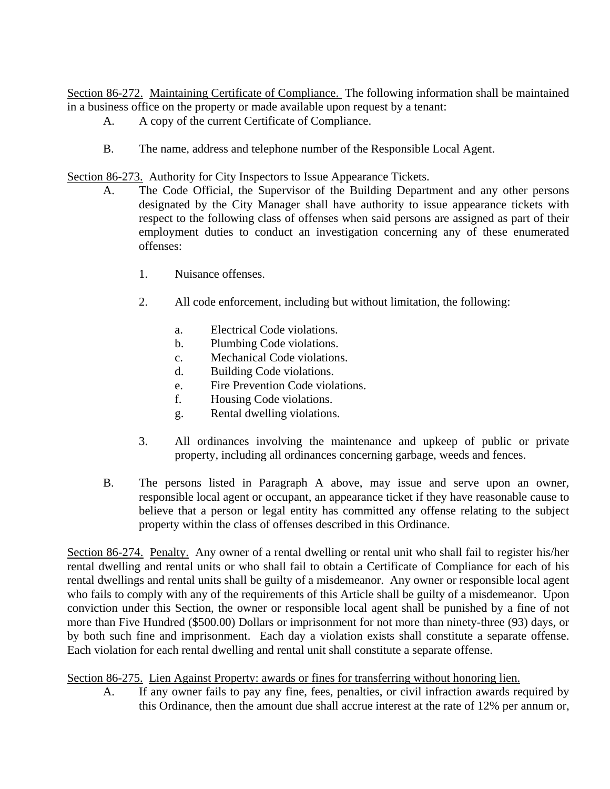Section 86-272. Maintaining Certificate of Compliance. The following information shall be maintained in a business office on the property or made available upon request by a tenant:

- A. A copy of the current Certificate of Compliance.
- B. The name, address and telephone number of the Responsible Local Agent.

Section 86-273. Authority for City Inspectors to Issue Appearance Tickets.

- A. The Code Official, the Supervisor of the Building Department and any other persons designated by the City Manager shall have authority to issue appearance tickets with respect to the following class of offenses when said persons are assigned as part of their employment duties to conduct an investigation concerning any of these enumerated offenses:
	- 1. Nuisance offenses.
	- 2. All code enforcement, including but without limitation, the following:
		- a. Electrical Code violations.
		- b. Plumbing Code violations.
		- c. Mechanical Code violations.
		- d. Building Code violations.
		- e. Fire Prevention Code violations.
		- f. Housing Code violations.
		- g. Rental dwelling violations.
	- 3. All ordinances involving the maintenance and upkeep of public or private property, including all ordinances concerning garbage, weeds and fences.
- B. The persons listed in Paragraph A above, may issue and serve upon an owner, responsible local agent or occupant, an appearance ticket if they have reasonable cause to believe that a person or legal entity has committed any offense relating to the subject property within the class of offenses described in this Ordinance.

Section 86-274. Penalty. Any owner of a rental dwelling or rental unit who shall fail to register his/her rental dwelling and rental units or who shall fail to obtain a Certificate of Compliance for each of his rental dwellings and rental units shall be guilty of a misdemeanor. Any owner or responsible local agent who fails to comply with any of the requirements of this Article shall be guilty of a misdemeanor. Upon conviction under this Section, the owner or responsible local agent shall be punished by a fine of not more than Five Hundred (\$500.00) Dollars or imprisonment for not more than ninety-three (93) days, or by both such fine and imprisonment. Each day a violation exists shall constitute a separate offense. Each violation for each rental dwelling and rental unit shall constitute a separate offense.

# Section 86-275. Lien Against Property: awards or fines for transferring without honoring lien.

A. If any owner fails to pay any fine, fees, penalties, or civil infraction awards required by this Ordinance, then the amount due shall accrue interest at the rate of 12% per annum or,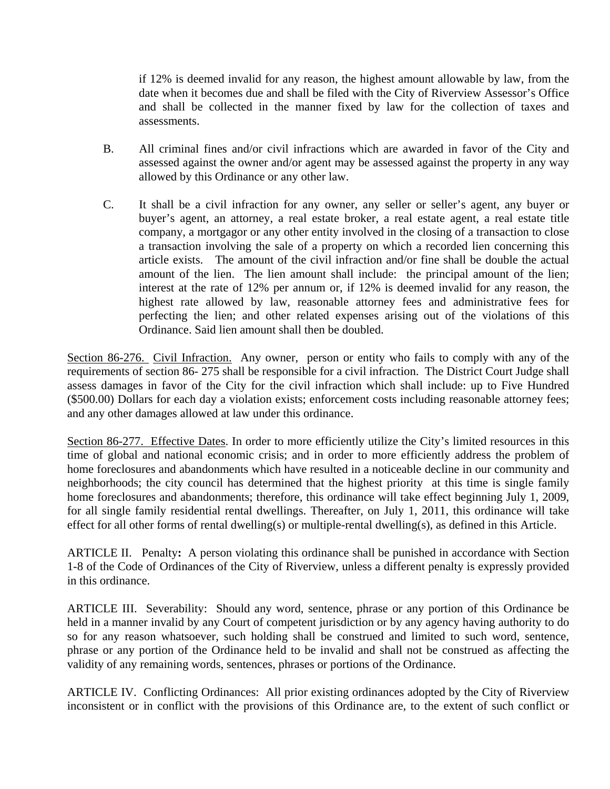if 12% is deemed invalid for any reason, the highest amount allowable by law, from the date when it becomes due and shall be filed with the City of Riverview Assessor's Office and shall be collected in the manner fixed by law for the collection of taxes and assessments.

- B. All criminal fines and/or civil infractions which are awarded in favor of the City and assessed against the owner and/or agent may be assessed against the property in any way allowed by this Ordinance or any other law.
- C. It shall be a civil infraction for any owner, any seller or seller's agent, any buyer or buyer's agent, an attorney, a real estate broker, a real estate agent, a real estate title company, a mortgagor or any other entity involved in the closing of a transaction to close a transaction involving the sale of a property on which a recorded lien concerning this article exists. The amount of the civil infraction and/or fine shall be double the actual amount of the lien. The lien amount shall include: the principal amount of the lien; interest at the rate of 12% per annum or, if 12% is deemed invalid for any reason, the highest rate allowed by law, reasonable attorney fees and administrative fees for perfecting the lien; and other related expenses arising out of the violations of this Ordinance. Said lien amount shall then be doubled.

Section 86-276. Civil Infraction. Any owner, person or entity who fails to comply with any of the requirements of section 86- 275 shall be responsible for a civil infraction. The District Court Judge shall assess damages in favor of the City for the civil infraction which shall include: up to Five Hundred (\$500.00) Dollars for each day a violation exists; enforcement costs including reasonable attorney fees; and any other damages allowed at law under this ordinance.

Section 86-277. Effective Dates. In order to more efficiently utilize the City's limited resources in this time of global and national economic crisis; and in order to more efficiently address the problem of home foreclosures and abandonments which have resulted in a noticeable decline in our community and neighborhoods; the city council has determined that the highest priority at this time is single family home foreclosures and abandonments; therefore, this ordinance will take effect beginning July 1, 2009, for all single family residential rental dwellings. Thereafter, on July 1, 2011, this ordinance will take effect for all other forms of rental dwelling(s) or multiple-rental dwelling(s), as defined in this Article.

ARTICLE II. Penalty**:** A person violating this ordinance shall be punished in accordance with Section 1-8 of the Code of Ordinances of the City of Riverview, unless a different penalty is expressly provided in this ordinance.

ARTICLE III. Severability:Should any word, sentence, phrase or any portion of this Ordinance be held in a manner invalid by any Court of competent jurisdiction or by any agency having authority to do so for any reason whatsoever, such holding shall be construed and limited to such word, sentence, phrase or any portion of the Ordinance held to be invalid and shall not be construed as affecting the validity of any remaining words, sentences, phrases or portions of the Ordinance.

ARTICLE IV. Conflicting Ordinances: All prior existing ordinances adopted by the City of Riverview inconsistent or in conflict with the provisions of this Ordinance are, to the extent of such conflict or